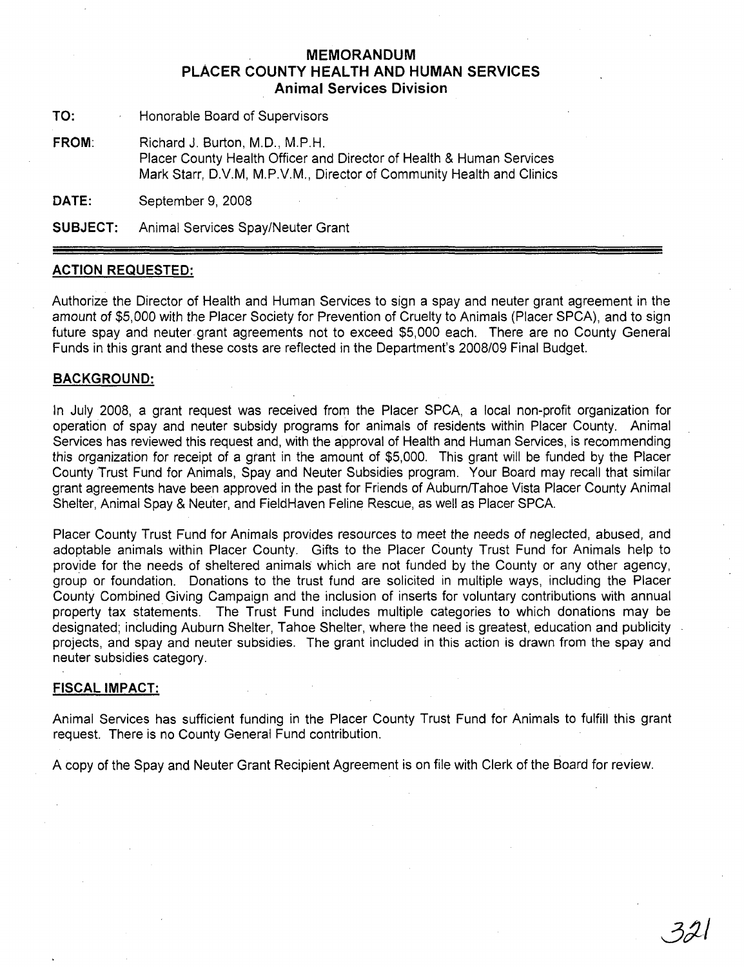## **MEMORANDUM PLACER COUNTY HEALTH AND HUMAN SERVICES Animal Services Division**

**TO:** Honorable Board of Supervisors

**FROM:** Richard J. Burton, M.D., M.P.H. Placer County Health Officer and Director of Health & Human Services Mark Starr, D.v.M, M.P.v.M., Director of Community Health and Clinics

**DATE:** September 9, 2008

**SUBJECT:** Animal Services Spay/Neuter Grant

## **ACTION REQUESTED:**

Authorize the Director of Health and Human Services to sign a spay and neuter grant agreement in the amount of \$5,000 with the Placer Society for Prevention of Cruelty to Animals (Placer SPCA), and to sign future spay and neuter grant agreements not to exceed \$5,000 each. There are no County General Funds in this grant and these costs are reflected in the Department's 2008/09 Final Budget.

## **BACKGROUND:**

In July 2008, a grant request was received from the Placer SPCA, a local non-profit organization for operation of spay and neuter subsidy programs for animals of residents within Placer County. Animal Services has reviewed this request and, with the approval of Health and Human Services, is recommending this organization for receipt of a grant in the amount of \$5,000. This grant will be funded by the Placer County Trust Fund for Animals, Spay and Neuter Subsidies program. Your Board may recall that similar grant agreements have been approved in the past for Friends of Auburn/Tahoe Vista Placer County Animal Shelter, Animal Spay & Neuter, and FieldHaven Feline Rescue, as well as Placer SPCA.

Placer County Trust Fund for Animals provides resources to meet the needs of neglected, abused, and adoptable animals within Placer County. Gifts to the Placer County Trust Fund for Animals help to provide for the needs of sheltered animals which are not funded by the County or any other agency, group or foundation. Donations to the trust fund are solicited in multiple ways, including the Placer County Combined Giving Campaign and the inclusion of inserts for voluntary contributions with annual property tax statements. The Trust Fund includes multiple categories to which donations may be designated; including Auburn Shelter, Tahoe Shelter, where the need is greatest, education and publicity projects, and spay and neuter subsidies. The grant included in this action is drawn from the spay and neuter subsidies category.

## **FISCAL IMPACT:**

Animal Services has sufficient funding in the Placer County Trust Fund for Animals to fulfill this grant request. There is no County General Fund contribution.

A copy of the Spay and Neuter Grant Recipient Agreement is on file with Clerk of the Board for review.